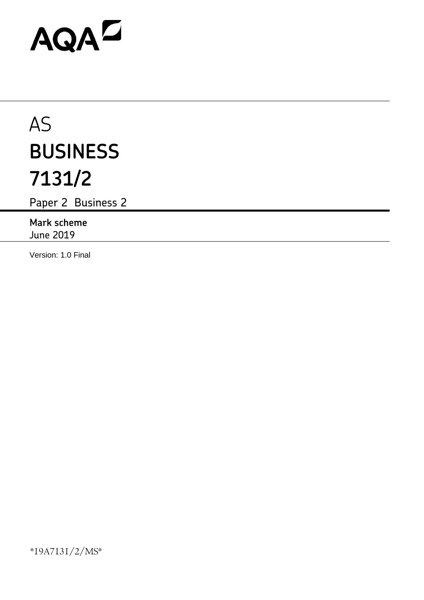# AQAD

# AS **BUSINESS 7131/2**

Paper 2 Business 2

**Mark scheme** June 2019

Version: 1.0 Final

\*19A7131/2/MS\*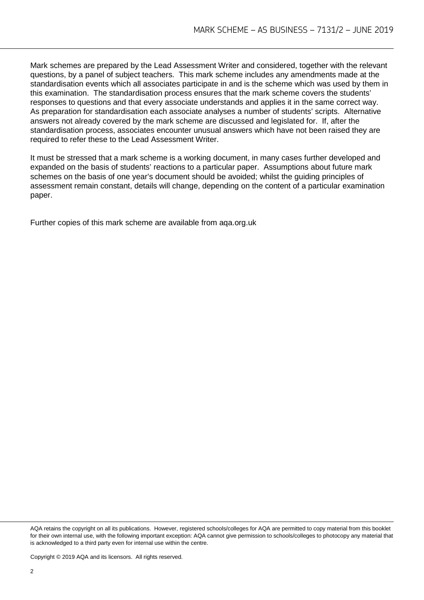Mark schemes are prepared by the Lead Assessment Writer and considered, together with the relevant questions, by a panel of subject teachers. This mark scheme includes any amendments made at the standardisation events which all associates participate in and is the scheme which was used by them in this examination. The standardisation process ensures that the mark scheme covers the students' responses to questions and that every associate understands and applies it in the same correct way. As preparation for standardisation each associate analyses a number of students' scripts. Alternative answers not already covered by the mark scheme are discussed and legislated for. If, after the standardisation process, associates encounter unusual answers which have not been raised they are required to refer these to the Lead Assessment Writer.

It must be stressed that a mark scheme is a working document, in many cases further developed and expanded on the basis of students' reactions to a particular paper. Assumptions about future mark schemes on the basis of one year's document should be avoided; whilst the guiding principles of assessment remain constant, details will change, depending on the content of a particular examination paper.

Further copies of this mark scheme are available from aqa.org.uk

AQA retains the copyright on all its publications. However, registered schools/colleges for AQA are permitted to copy material from this booklet for their own internal use, with the following important exception: AQA cannot give permission to schools/colleges to photocopy any material that is acknowledged to a third party even for internal use within the centre.

Copyright © 2019 AQA and its licensors. All rights reserved.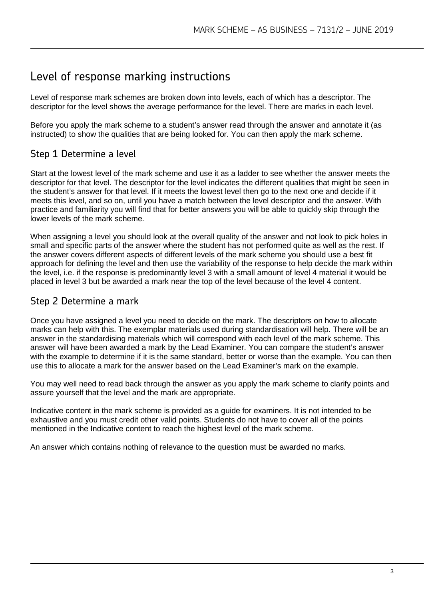## Level of response marking instructions

Level of response mark schemes are broken down into levels, each of which has a descriptor. The descriptor for the level shows the average performance for the level. There are marks in each level.

Before you apply the mark scheme to a student's answer read through the answer and annotate it (as instructed) to show the qualities that are being looked for. You can then apply the mark scheme.

### Step 1 Determine a level

Start at the lowest level of the mark scheme and use it as a ladder to see whether the answer meets the descriptor for that level. The descriptor for the level indicates the different qualities that might be seen in the student's answer for that level. If it meets the lowest level then go to the next one and decide if it meets this level, and so on, until you have a match between the level descriptor and the answer. With practice and familiarity you will find that for better answers you will be able to quickly skip through the lower levels of the mark scheme.

When assigning a level you should look at the overall quality of the answer and not look to pick holes in small and specific parts of the answer where the student has not performed quite as well as the rest. If the answer covers different aspects of different levels of the mark scheme you should use a best fit approach for defining the level and then use the variability of the response to help decide the mark within the level, i.e. if the response is predominantly level 3 with a small amount of level 4 material it would be placed in level 3 but be awarded a mark near the top of the level because of the level 4 content.

#### Step 2 Determine a mark

Once you have assigned a level you need to decide on the mark. The descriptors on how to allocate marks can help with this. The exemplar materials used during standardisation will help. There will be an answer in the standardising materials which will correspond with each level of the mark scheme. This answer will have been awarded a mark by the Lead Examiner. You can compare the student's answer with the example to determine if it is the same standard, better or worse than the example. You can then use this to allocate a mark for the answer based on the Lead Examiner's mark on the example.

You may well need to read back through the answer as you apply the mark scheme to clarify points and assure yourself that the level and the mark are appropriate.

Indicative content in the mark scheme is provided as a guide for examiners. It is not intended to be exhaustive and you must credit other valid points. Students do not have to cover all of the points mentioned in the Indicative content to reach the highest level of the mark scheme.

An answer which contains nothing of relevance to the question must be awarded no marks.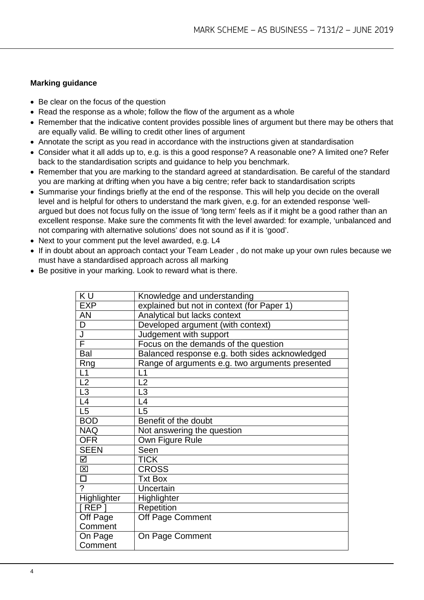#### **Marking guidance**

- Be clear on the focus of the question
- Read the response as a whole; follow the flow of the argument as a whole
- Remember that the indicative content provides possible lines of argument but there may be others that are equally valid. Be willing to credit other lines of argument
- Annotate the script as you read in accordance with the instructions given at standardisation
- Consider what it all adds up to, e.g. is this a good response? A reasonable one? A limited one? Refer back to the standardisation scripts and guidance to help you benchmark.
- Remember that you are marking to the standard agreed at standardisation. Be careful of the standard you are marking at drifting when you have a big centre; refer back to standardisation scripts
- Summarise your findings briefly at the end of the response. This will help you decide on the overall level and is helpful for others to understand the mark given, e.g. for an extended response 'wellargued but does not focus fully on the issue of 'long term' feels as if it might be a good rather than an excellent response. Make sure the comments fit with the level awarded: for example, 'unbalanced and not comparing with alternative solutions' does not sound as if it is 'good'.
- Next to your comment put the level awarded, e.g. L4
- If in doubt about an approach contact your Team Leader , do not make up your own rules because we must have a standardised approach across all marking

| • Be positive in your marking. Look to reward what is there. |  |  |  |
|--------------------------------------------------------------|--|--|--|
|                                                              |  |  |  |

| Knowledge and understanding                     |
|-------------------------------------------------|
| explained but not in context (for Paper 1)      |
| Analytical but lacks context                    |
| Developed argument (with context)               |
| Judgement with support                          |
| Focus on the demands of the question            |
| Balanced response e.g. both sides acknowledged  |
| Range of arguments e.g. two arguments presented |
| L1                                              |
| $\overline{2}$                                  |
| L <sub>3</sub>                                  |
| L4                                              |
| L <sub>5</sub>                                  |
| Benefit of the doubt                            |
| Not answering the question                      |
| Own Figure Rule                                 |
| Seen                                            |
| <b>TICK</b>                                     |
| <b>CROSS</b>                                    |
| <b>Txt Box</b>                                  |
| Uncertain                                       |
| Highlighter                                     |
| Repetition                                      |
| Off Page Comment                                |
|                                                 |
| On Page Comment                                 |
|                                                 |
|                                                 |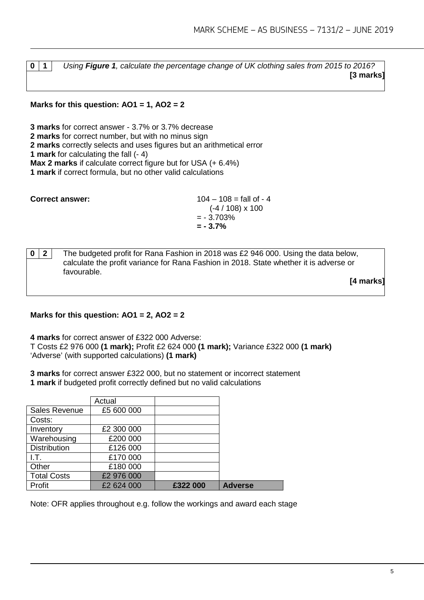**0 1** *Using Figure 1, calculate the percentage change of UK clothing sales from 2015 to 2016?* **[3 marks]**

**Marks for this question: AO1 = 1, AO2 = 2**

**3 marks** for correct answer - 3.7% or 3.7% decrease **2 marks** for correct number, but with no minus sign **2 marks** correctly selects and uses figures but an arithmetical error **1 mark** for calculating the fall (- 4) **Max 2 marks** if calculate correct figure but for USA (+ 6.4%) **1 mark** if correct formula, but no other valid calculations

| <b>Correct answer:</b> | $104 - 108 = \text{fall of } - 4$ |
|------------------------|-----------------------------------|
|                        | $(-4/108) \times 100$             |
|                        | $= -3.703\%$                      |
|                        | $= -3.7\%$                        |
|                        |                                   |

**0 2** The budgeted profit for Rana Fashion in 2018 was £2 946 000. Using the data below, calculate the profit variance for Rana Fashion in 2018. State whether it is adverse or favourable.

**[4 marks]**

#### **Marks for this question: AO1 = 2, AO2 = 2**

**4 marks** for correct answer of £322 000 Adverse:

T Costs £2 976 000 **(1 mark);** Profit £2 624 000 **(1 mark);** Variance £322 000 **(1 mark)** 'Adverse' (with supported calculations) **(1 mark)**

**3 marks** for correct answer £322 000, but no statement or incorrect statement **1 mark** if budgeted profit correctly defined but no valid calculations

|                     | Actual     |          |                |
|---------------------|------------|----------|----------------|
| Sales Revenue       | £5 600 000 |          |                |
| Costs:              |            |          |                |
| Inventory           | £2 300 000 |          |                |
| Warehousing         | £200 000   |          |                |
| <b>Distribution</b> | £126 000   |          |                |
| I.T.                | £170 000   |          |                |
| Other               | £180 000   |          |                |
| <b>Total Costs</b>  | £2 976 000 |          |                |
| Profit              | £2 624 000 | £322 000 | <b>Adverse</b> |

Note: OFR applies throughout e.g. follow the workings and award each stage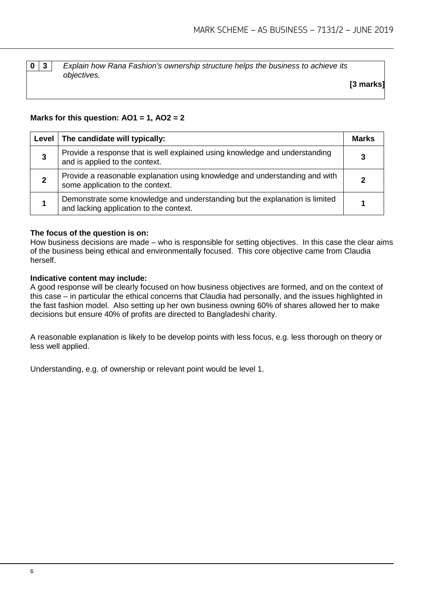**0 3** *Explain how Rana Fashion's ownership structure helps the business to achieve its objectives.*

**[3 marks]**

#### **Marks for this question: AO1 = 1, AO2 = 2**

| Level | The candidate will typically:                                                                                          | Marks |
|-------|------------------------------------------------------------------------------------------------------------------------|-------|
| 3     | Provide a response that is well explained using knowledge and understanding<br>and is applied to the context.          | 3     |
| 2     | Provide a reasonable explanation using knowledge and understanding and with<br>some application to the context.        |       |
|       | Demonstrate some knowledge and understanding but the explanation is limited<br>and lacking application to the context. |       |

#### **The focus of the question is on:**

How business decisions are made – who is responsible for setting objectives. In this case the clear aims of the business being ethical and environmentally focused. This core objective came from Claudia herself.

#### **Indicative content may include:**

A good response will be clearly focused on how business objectives are formed, and on the context of this case – in particular the ethical concerns that Claudia had personally, and the issues highlighted in the fast fashion model. Also setting up her own business owning 60% of shares allowed her to make decisions but ensure 40% of profits are directed to Bangladeshi charity.

A reasonable explanation is likely to be develop points with less focus, e.g. less thorough on theory or less well applied.

Understanding, e.g. of ownership or relevant point would be level 1.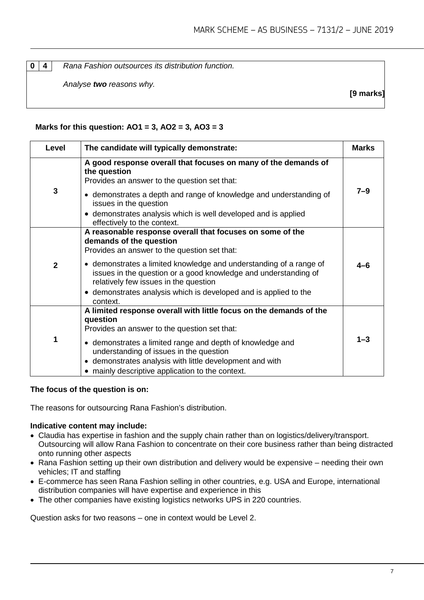**0 4** *Rana Fashion outsources its distribution function.* 

*Analyse two reasons why.*

**[9 marks]**

#### **Marks for this question: AO1 = 3, AO2 = 3, AO3 = 3**

| Level          | The candidate will typically demonstrate:                                                                                                                                                                                                                                                                                                              | <b>Marks</b> |  |
|----------------|--------------------------------------------------------------------------------------------------------------------------------------------------------------------------------------------------------------------------------------------------------------------------------------------------------------------------------------------------------|--------------|--|
|                | A good response overall that focuses on many of the demands of<br>the question<br>Provides an answer to the question set that:                                                                                                                                                                                                                         |              |  |
| $\mathbf{3}$   | • demonstrates a depth and range of knowledge and understanding of<br>issues in the question<br>• demonstrates analysis which is well developed and is applied<br>effectively to the context.                                                                                                                                                          | $7 - 9$      |  |
| $\overline{2}$ | A reasonable response overall that focuses on some of the<br>demands of the question<br>Provides an answer to the question set that:<br>• demonstrates a limited knowledge and understanding of a range of<br>issues in the question or a good knowledge and understanding of<br>relatively few issues in the question                                 | 4–6          |  |
|                | • demonstrates analysis which is developed and is applied to the<br>context.                                                                                                                                                                                                                                                                           |              |  |
| 1              | A limited response overall with little focus on the demands of the<br>question<br>Provides an answer to the question set that:<br>• demonstrates a limited range and depth of knowledge and<br>understanding of issues in the question<br>• demonstrates analysis with little development and with<br>• mainly descriptive application to the context. | $1 - 3$      |  |

#### **The focus of the question is on:**

The reasons for outsourcing Rana Fashion's distribution.

#### **Indicative content may include:**

- Claudia has expertise in fashion and the supply chain rather than on logistics/delivery/transport. Outsourcing will allow Rana Fashion to concentrate on their core business rather than being distracted onto running other aspects
- Rana Fashion setting up their own distribution and delivery would be expensive needing their own vehicles; IT and staffing
- E-commerce has seen Rana Fashion selling in other countries, e.g. USA and Europe, international distribution companies will have expertise and experience in this
- The other companies have existing logistics networks UPS in 220 countries.

Question asks for two reasons – one in context would be Level 2.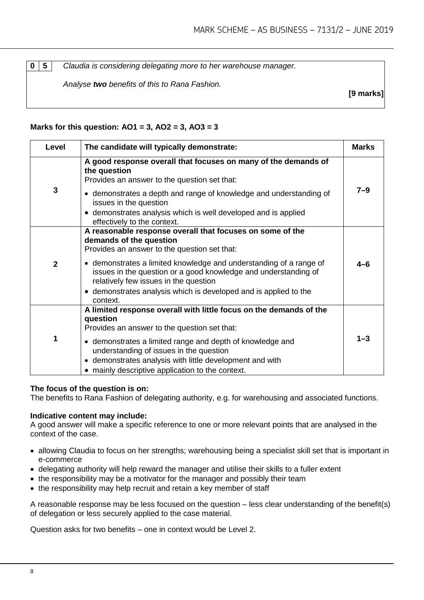**0 5** *Claudia is considering delegating more to her warehouse manager.* 

*Analyse two benefits of this to Rana Fashion.*

**[9 marks]**

#### **Marks for this question: AO1 = 3, AO2 = 3, AO3 = 3**

| Level          | The candidate will typically demonstrate:                                                                                                                                                                                                                                                                                                                                                              | <b>Marks</b> |
|----------------|--------------------------------------------------------------------------------------------------------------------------------------------------------------------------------------------------------------------------------------------------------------------------------------------------------------------------------------------------------------------------------------------------------|--------------|
| $\mathbf{3}$   | A good response overall that focuses on many of the demands of<br>the question<br>Provides an answer to the question set that:<br>• demonstrates a depth and range of knowledge and understanding of<br>issues in the question<br>• demonstrates analysis which is well developed and is applied<br>effectively to the context.                                                                        | $7 - 9$      |
| $\overline{2}$ | A reasonable response overall that focuses on some of the<br>demands of the question<br>Provides an answer to the question set that:<br>• demonstrates a limited knowledge and understanding of a range of<br>issues in the question or a good knowledge and understanding of<br>relatively few issues in the question<br>• demonstrates analysis which is developed and is applied to the<br>context. | 4–6          |
| 1              | A limited response overall with little focus on the demands of the<br>question<br>Provides an answer to the question set that:<br>• demonstrates a limited range and depth of knowledge and<br>understanding of issues in the question<br>• demonstrates analysis with little development and with<br>• mainly descriptive application to the context.                                                 | $1 - 3$      |

#### **The focus of the question is on:**

The benefits to Rana Fashion of delegating authority, e.g. for warehousing and associated functions.

#### **Indicative content may include:**

A good answer will make a specific reference to one or more relevant points that are analysed in the context of the case.

- allowing Claudia to focus on her strengths; warehousing being a specialist skill set that is important in e-commerce
- delegating authority will help reward the manager and utilise their skills to a fuller extent
- the responsibility may be a motivator for the manager and possibly their team
- the responsibility may help recruit and retain a key member of staff

A reasonable response may be less focused on the question – less clear understanding of the benefit(s) of delegation or less securely applied to the case material.

Question asks for two benefits – one in context would be Level 2.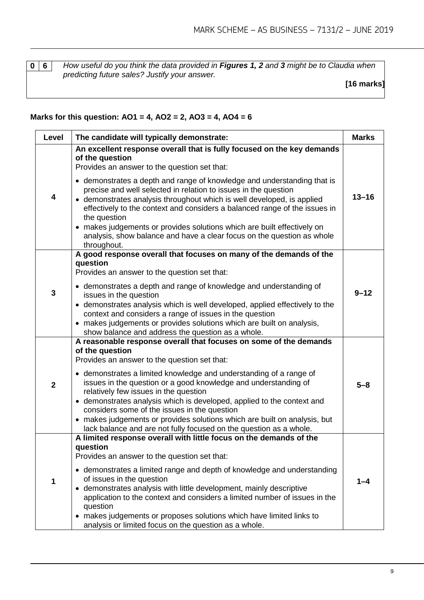**0 6** *How useful do you think the data provided in Figures 1, 2 and 3 might be to Claudia when predicting future sales? Justify your answer.* 

**[16 marks]**

#### **Marks for this question: AO1 = 4, AO2 = 2, AO3 = 4, AO4 = 6**

| Level       | The candidate will typically demonstrate:                                                                                                                                                                                                                                                                                                                                                                                                                                                                                                                                                           | <b>Marks</b> |
|-------------|-----------------------------------------------------------------------------------------------------------------------------------------------------------------------------------------------------------------------------------------------------------------------------------------------------------------------------------------------------------------------------------------------------------------------------------------------------------------------------------------------------------------------------------------------------------------------------------------------------|--------------|
| 4           | An excellent response overall that is fully focused on the key demands<br>of the question<br>Provides an answer to the question set that:<br>• demonstrates a depth and range of knowledge and understanding that is<br>precise and well selected in relation to issues in the question<br>• demonstrates analysis throughout which is well developed, is applied<br>effectively to the context and considers a balanced range of the issues in<br>the question<br>• makes judgements or provides solutions which are built effectively on                                                          | $13 - 16$    |
|             | analysis, show balance and have a clear focus on the question as whole<br>throughout.                                                                                                                                                                                                                                                                                                                                                                                                                                                                                                               |              |
| 3           | A good response overall that focuses on many of the demands of the<br>question<br>Provides an answer to the question set that:<br>• demonstrates a depth and range of knowledge and understanding of<br>issues in the question<br>• demonstrates analysis which is well developed, applied effectively to the                                                                                                                                                                                                                                                                                       | $9 - 12$     |
|             | context and considers a range of issues in the question<br>• makes judgements or provides solutions which are built on analysis,<br>show balance and address the question as a whole.                                                                                                                                                                                                                                                                                                                                                                                                               |              |
| $\mathbf 2$ | A reasonable response overall that focuses on some of the demands<br>of the question<br>Provides an answer to the question set that:<br>• demonstrates a limited knowledge and understanding of a range of<br>issues in the question or a good knowledge and understanding of<br>relatively few issues in the question<br>• demonstrates analysis which is developed, applied to the context and<br>considers some of the issues in the question<br>• makes judgements or provides solutions which are built on analysis, but<br>lack balance and are not fully focused on the question as a whole. | $5 - 8$      |
| 1           | A limited response overall with little focus on the demands of the<br>question<br>Provides an answer to the question set that:<br>• demonstrates a limited range and depth of knowledge and understanding<br>of issues in the question<br>• demonstrates analysis with little development, mainly descriptive<br>application to the context and considers a limited number of issues in the<br>question<br>• makes judgements or proposes solutions which have limited links to<br>analysis or limited focus on the question as a whole.                                                            | 1–4          |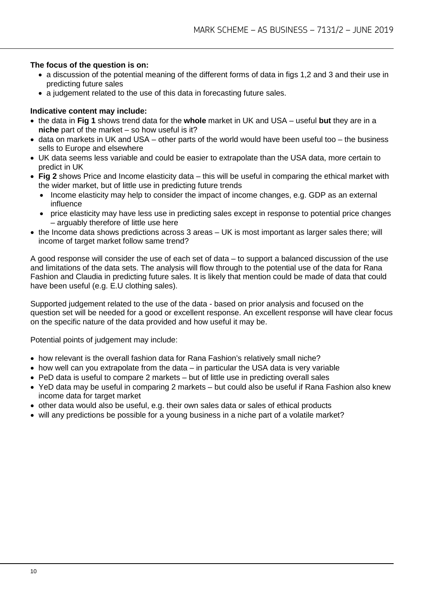#### **The focus of the question is on:**

- a discussion of the potential meaning of the different forms of data in figs 1,2 and 3 and their use in predicting future sales
- a judgement related to the use of this data in forecasting future sales.

#### **Indicative content may include:**

- the data in **Fig 1** shows trend data for the **whole** market in UK and USA useful **but** they are in a **niche** part of the market – so how useful is it?
- data on markets in UK and USA other parts of the world would have been useful too the business sells to Europe and elsewhere
- UK data seems less variable and could be easier to extrapolate than the USA data, more certain to predict in UK
- **Fig 2** shows Price and Income elasticity data this will be useful in comparing the ethical market with the wider market, but of little use in predicting future trends
	- Income elasticity may help to consider the impact of income changes, e.g. GDP as an external influence
	- price elasticity may have less use in predicting sales except in response to potential price changes – arguably therefore of little use here
- the Income data shows predictions across 3 areas UK is most important as larger sales there; will income of target market follow same trend?

A good response will consider the use of each set of data – to support a balanced discussion of the use and limitations of the data sets. The analysis will flow through to the potential use of the data for Rana Fashion and Claudia in predicting future sales. It is likely that mention could be made of data that could have been useful (e.g. E.U clothing sales).

Supported judgement related to the use of the data - based on prior analysis and focused on the question set will be needed for a good or excellent response. An excellent response will have clear focus on the specific nature of the data provided and how useful it may be.

Potential points of judgement may include:

- how relevant is the overall fashion data for Rana Fashion's relatively small niche?
- how well can you extrapolate from the data in particular the USA data is very variable
- PeD data is useful to compare 2 markets but of little use in predicting overall sales
- YeD data may be useful in comparing 2 markets but could also be useful if Rana Fashion also knew income data for target market
- other data would also be useful, e.g. their own sales data or sales of ethical products
- will any predictions be possible for a young business in a niche part of a volatile market?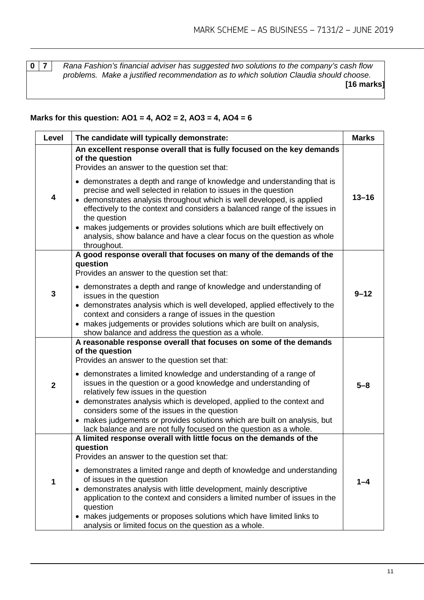**0 7** *Rana Fashion's financial adviser has suggested two solutions to the company's cash flow problems. Make a justified recommendation as to which solution Claudia should choose.*  **[16 marks]**

#### **Marks for this question: AO1 = 4, AO2 = 2, AO3 = 4, AO4 = 6**

| Level       | The candidate will typically demonstrate:                                                                                                                                                                                                                                                                                                                                                                                                                                                                                                                                                                                                                | <b>Marks</b> |
|-------------|----------------------------------------------------------------------------------------------------------------------------------------------------------------------------------------------------------------------------------------------------------------------------------------------------------------------------------------------------------------------------------------------------------------------------------------------------------------------------------------------------------------------------------------------------------------------------------------------------------------------------------------------------------|--------------|
| 4           | An excellent response overall that is fully focused on the key demands<br>of the question<br>Provides an answer to the question set that:<br>• demonstrates a depth and range of knowledge and understanding that is<br>precise and well selected in relation to issues in the question<br>• demonstrates analysis throughout which is well developed, is applied                                                                                                                                                                                                                                                                                        | $13 - 16$    |
|             | effectively to the context and considers a balanced range of the issues in<br>the question<br>• makes judgements or provides solutions which are built effectively on<br>analysis, show balance and have a clear focus on the question as whole<br>throughout.                                                                                                                                                                                                                                                                                                                                                                                           |              |
|             | A good response overall that focuses on many of the demands of the<br>question<br>Provides an answer to the question set that:                                                                                                                                                                                                                                                                                                                                                                                                                                                                                                                           |              |
| 3           | • demonstrates a depth and range of knowledge and understanding of<br>issues in the question<br>• demonstrates analysis which is well developed, applied effectively to the<br>context and considers a range of issues in the question<br>• makes judgements or provides solutions which are built on analysis,                                                                                                                                                                                                                                                                                                                                          | $9 - 12$     |
| $\mathbf 2$ | show balance and address the question as a whole.<br>A reasonable response overall that focuses on some of the demands<br>of the question<br>Provides an answer to the question set that:<br>• demonstrates a limited knowledge and understanding of a range of<br>issues in the question or a good knowledge and understanding of<br>relatively few issues in the question<br>• demonstrates analysis which is developed, applied to the context and<br>considers some of the issues in the question<br>• makes judgements or provides solutions which are built on analysis, but<br>lack balance and are not fully focused on the question as a whole. | $5 - 8$      |
| 1           | A limited response overall with little focus on the demands of the<br>question<br>Provides an answer to the question set that:<br>• demonstrates a limited range and depth of knowledge and understanding<br>of issues in the question<br>• demonstrates analysis with little development, mainly descriptive<br>application to the context and considers a limited number of issues in the<br>question<br>• makes judgements or proposes solutions which have limited links to<br>analysis or limited focus on the question as a whole.                                                                                                                 | $1 - 4$      |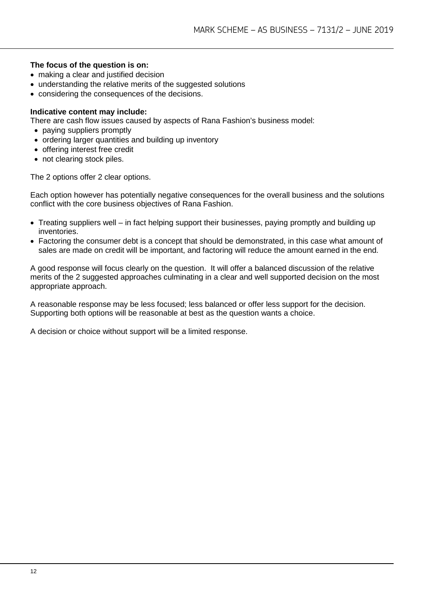#### **The focus of the question is on:**

- making a clear and justified decision
- understanding the relative merits of the suggested solutions
- considering the consequences of the decisions.

#### **Indicative content may include:**

There are cash flow issues caused by aspects of Rana Fashion's business model:

- paying suppliers promptly
- ordering larger quantities and building up inventory
- offering interest free credit
- not clearing stock piles.

The 2 options offer 2 clear options.

Each option however has potentially negative consequences for the overall business and the solutions conflict with the core business objectives of Rana Fashion.

- Treating suppliers well in fact helping support their businesses, paying promptly and building up inventories.
- Factoring the consumer debt is a concept that should be demonstrated, in this case what amount of sales are made on credit will be important, and factoring will reduce the amount earned in the end.

A good response will focus clearly on the question. It will offer a balanced discussion of the relative merits of the 2 suggested approaches culminating in a clear and well supported decision on the most appropriate approach.

A reasonable response may be less focused; less balanced or offer less support for the decision. Supporting both options will be reasonable at best as the question wants a choice.

A decision or choice without support will be a limited response.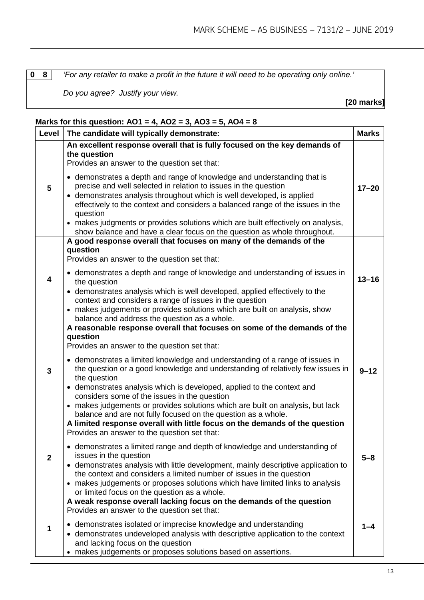**0 8** *'For any retailer to make a profit in the future it will need to be operating only online.'*

*Do you agree? Justify your view.*

**[20 marks]**

| Level          | The candidate will typically demonstrate:                                                                                                                                                                                                                                                                                                                                                              | <b>Marks</b> |  |
|----------------|--------------------------------------------------------------------------------------------------------------------------------------------------------------------------------------------------------------------------------------------------------------------------------------------------------------------------------------------------------------------------------------------------------|--------------|--|
|                | An excellent response overall that is fully focused on the key demands of<br>the question<br>Provides an answer to the question set that:                                                                                                                                                                                                                                                              |              |  |
| $5\phantom{1}$ | • demonstrates a depth and range of knowledge and understanding that is<br>precise and well selected in relation to issues in the question<br>• demonstrates analysis throughout which is well developed, is applied<br>effectively to the context and considers a balanced range of the issues in the<br>question<br>• makes judgments or provides solutions which are built effectively on analysis, | $17 - 20$    |  |
|                | show balance and have a clear focus on the question as whole throughout.<br>A good response overall that focuses on many of the demands of the                                                                                                                                                                                                                                                         |              |  |
|                | question<br>Provides an answer to the question set that:                                                                                                                                                                                                                                                                                                                                               |              |  |
| 4              | • demonstrates a depth and range of knowledge and understanding of issues in<br>the question                                                                                                                                                                                                                                                                                                           | $13 - 16$    |  |
|                | • demonstrates analysis which is well developed, applied effectively to the<br>context and considers a range of issues in the question<br>• makes judgements or provides solutions which are built on analysis, show<br>balance and address the question as a whole.                                                                                                                                   |              |  |
|                | A reasonable response overall that focuses on some of the demands of the                                                                                                                                                                                                                                                                                                                               |              |  |
|                | question<br>Provides an answer to the question set that:                                                                                                                                                                                                                                                                                                                                               |              |  |
| 3              | • demonstrates a limited knowledge and understanding of a range of issues in<br>the question or a good knowledge and understanding of relatively few issues in<br>the question                                                                                                                                                                                                                         | $9 - 12$     |  |
|                | • demonstrates analysis which is developed, applied to the context and<br>considers some of the issues in the question<br>• makes judgements or provides solutions which are built on analysis, but lack<br>balance and are not fully focused on the question as a whole.                                                                                                                              |              |  |
|                | A limited response overall with little focus on the demands of the question<br>Provides an answer to the question set that:                                                                                                                                                                                                                                                                            |              |  |
| $\mathbf{2}$   | • demonstrates a limited range and depth of knowledge and understanding of<br>issues in the question                                                                                                                                                                                                                                                                                                   | $5 - 8$      |  |
|                | • demonstrates analysis with little development, mainly descriptive application to<br>the context and considers a limited number of issues in the question<br>• makes judgements or proposes solutions which have limited links to analysis<br>or limited focus on the question as a whole.                                                                                                            |              |  |
|                | A weak response overall lacking focus on the demands of the question                                                                                                                                                                                                                                                                                                                                   |              |  |
|                | Provides an answer to the question set that:                                                                                                                                                                                                                                                                                                                                                           |              |  |
| 1              | • demonstrates isolated or imprecise knowledge and understanding<br>• demonstrates undeveloped analysis with descriptive application to the context<br>and lacking focus on the question<br>makes judgements or proposes solutions based on assertions.                                                                                                                                                | 1–4          |  |

#### **Marks for this question: AO1 = 4, AO2 = 3, AO3 = 5, AO4 = 8**